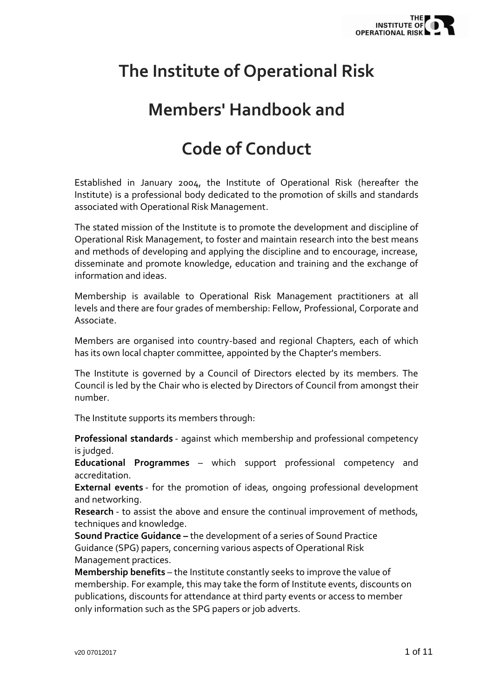

# **The Institute of Operational Risk**

# **Members' Handbook and**

# **Code of Conduct**

Established in January 2004, the Institute of Operational Risk (hereafter the Institute) is a professional body dedicated to the promotion of skills and standards associated with Operational Risk Management.

The stated mission of the Institute is to promote the development and discipline of Operational Risk Management, to foster and maintain research into the best means and methods of developing and applying the discipline and to encourage, increase, disseminate and promote knowledge, education and training and the exchange of information and ideas.

Membership is available to Operational Risk Management practitioners at all levels and there are four grades of membership: Fellow, Professional, Corporate and Associate.

Members are organised into country-based and regional Chapters, each of which has its own local chapter committee, appointed by the Chapter's members.

The Institute is governed by a Council of Directors elected by its members. The Council is led by the Chair who is elected by Directors of Council from amongst their number.

The Institute supports its members through:

**Professional standards** - against which membership and professional competency is judged.

**Educational Programmes** – which support professional competency and accreditation.

**External events** - for the promotion of ideas, ongoing professional development and networking.

**Research** - to assist the above and ensure the continual improvement of methods, techniques and knowledge.

**Sound Practice Guidance –** the development of a series of Sound Practice Guidance (SPG) papers, concerning various aspects of Operational Risk Management practices.

**Membership benefits** – the Institute constantly seeks to improve the value of membership. For example, this may take the form of Institute events, discounts on publications, discounts for attendance at third party events or access to member only information such as the SPG papers or job adverts.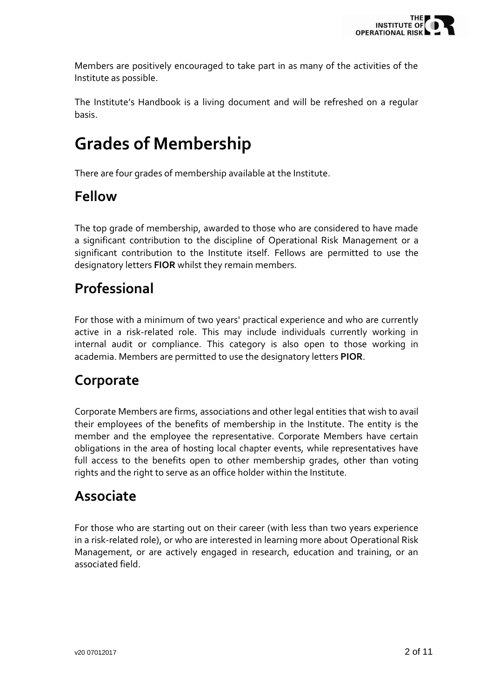

Members are positively encouraged to take part in as many of the activities of the Institute as possible.

The Institute's Handbook is a living document and will be refreshed on a regular basis.

# **Grades of Membership**

There are four grades of membership available at the Institute.

#### **Fellow**

The top grade of membership, awarded to those who are considered to have made a significant contribution to the discipline of Operational Risk Management or a significant contribution to the Institute itself. Fellows are permitted to use the designatory letters **FIOR** whilst they remain members.

## **Professional**

For those with a minimum of two years' practical experience and who are currently active in a risk-related role. This may include individuals currently working in internal audit or compliance. This category is also open to those working in academia. Members are permitted to use the designatory letters **PIOR**.

## **Corporate**

Corporate Members are firms, associations and other legal entities that wish to avail their employees of the benefits of membership in the Institute. The entity is the member and the employee the representative. Corporate Members have certain obligations in the area of hosting local chapter events, while representatives have full access to the benefits open to other membership grades, other than voting rights and the right to serve as an office holder within the Institute.

## **Associate**

For those who are starting out on their career (with less than two years experience in a risk-related role), or who are interested in learning more about Operational Risk Management, or are actively engaged in research, education and training, or an associated field.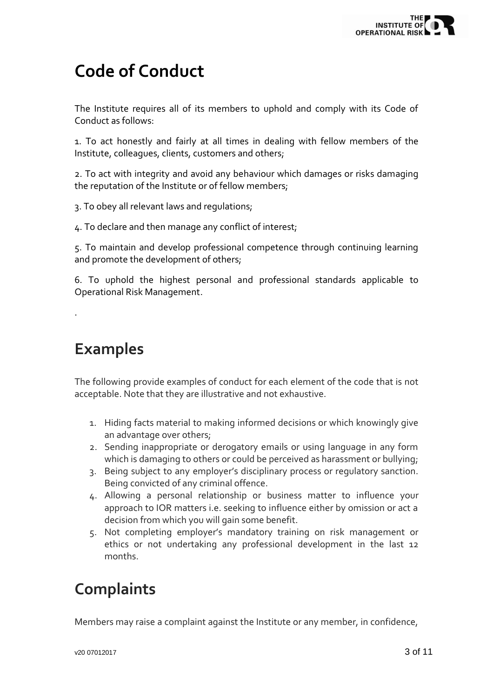# **Code of Conduct**

The Institute requires all of its members to uphold and comply with its Code of Conduct as follows:

1. To act honestly and fairly at all times in dealing with fellow members of the Institute, colleagues, clients, customers and others;

2. To act with integrity and avoid any behaviour which damages or risks damaging the reputation of the Institute or of fellow members;

3. To obey all relevant laws and regulations;

4. To declare and then manage any conflict of interest;

5. To maintain and develop professional competence through continuing learning and promote the development of others;

6. To uphold the highest personal and professional standards applicable to Operational Risk Management.

**Examples** 

.

The following provide examples of conduct for each element of the code that is not acceptable. Note that they are illustrative and not exhaustive.

- 1. Hiding facts material to making informed decisions or which knowingly give an advantage over others;
- 2. Sending inappropriate or derogatory emails or using language in any form which is damaging to others or could be perceived as harassment or bullying;
- 3. Being subject to any employer's disciplinary process or regulatory sanction. Being convicted of any criminal offence.
- 4. Allowing a personal relationship or business matter to influence your approach to IOR matters i.e. seeking to influence either by omission or act a decision from which you will gain some benefit.
- 5. Not completing employer's mandatory training on risk management or ethics or not undertaking any professional development in the last 12 months.

# **Complaints**

Members may raise a complaint against the Institute or any member, in confidence,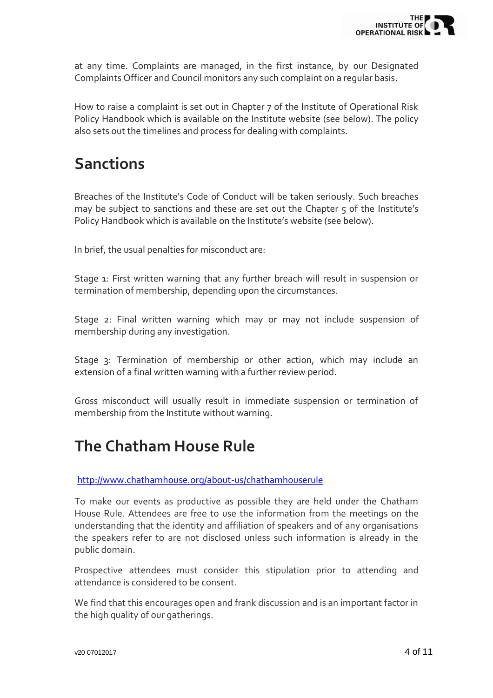

at any time. Complaints are managed, in the first instance, by our Designated Complaints Officer and Council monitors any such complaint on a regular basis.

How to raise a complaint is set out in Chapter 7 of the Institute of Operational Risk Policy Handbook which is available on the Institute website (see below). The policy also sets out the timelines and process for dealing with complaints.

# **Sanctions**

Breaches of the Institute's Code of Conduct will be taken seriously. Such breaches may be subject to sanctions and these are set out the Chapter 5 of the Institute's Policy Handbook which is available on the Institute's website (see below).

In brief, the usual penalties for misconduct are:

Stage 1: First written warning that any further breach will result in suspension or termination of membership, depending upon the circumstances.

Stage 2: Final written warning which may or may not include suspension of membership during any investigation.

Stage 3: Termination of membership or other action, which may include an extension of a final written warning with a further review period.

Gross misconduct will usually result in immediate suspension or termination of membership from the Institute without warning.

# **The Chatham House Rule**

#### <http://www.chathamhouse.org/about-us/chathamhouserule>

To make our events as productive as possible they are held under the Chatham House Rule. Attendees are free to use the information from the meetings on the understanding that the identity and affiliation of speakers and of any organisations the speakers refer to are not disclosed unless such information is already in the public domain.

Prospective attendees must consider this stipulation prior to attending and attendance is considered to be consent.

We find that this encourages open and frank discussion and is an important factor in the high quality of our gatherings.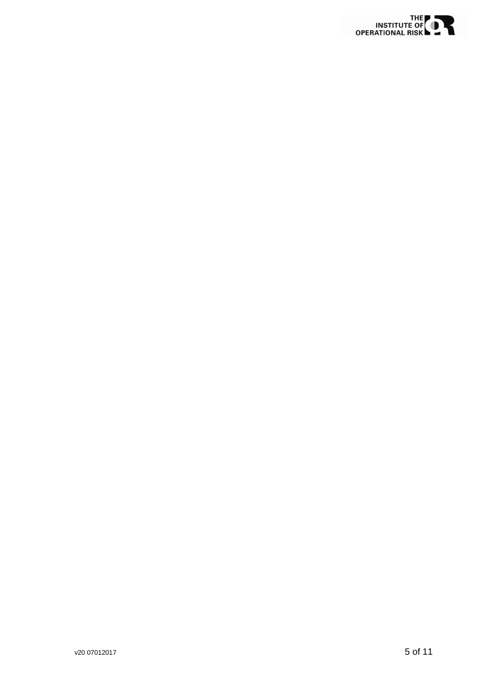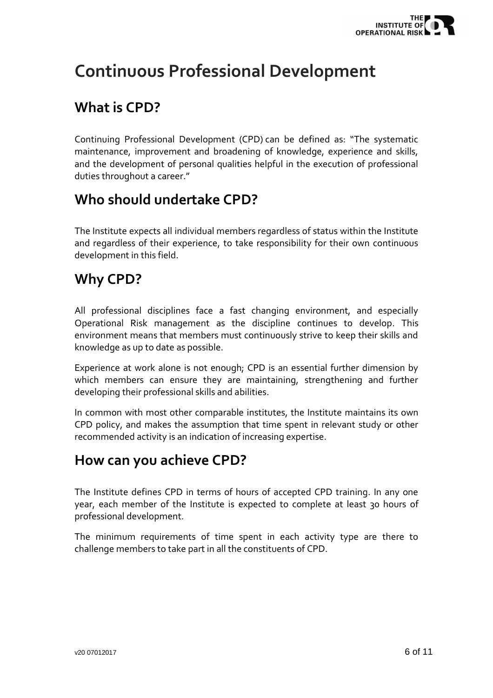

# **Continuous Professional Development**

## **What is CPD?**

Continuing Professional Development (CPD) can be defined as: "The systematic maintenance, improvement and broadening of knowledge, experience and skills, and the development of personal qualities helpful in the execution of professional duties throughout a career."

#### **Who should undertake CPD?**

The Institute expects all individual members regardless of status within the Institute and regardless of their experience, to take responsibility for their own continuous development in this field.

### **Why CPD?**

All professional disciplines face a fast changing environment, and especially Operational Risk management as the discipline continues to develop. This environment means that members must continuously strive to keep their skills and knowledge as up to date as possible.

Experience at work alone is not enough; CPD is an essential further dimension by which members can ensure they are maintaining, strengthening and further developing their professional skills and abilities.

In common with most other comparable institutes, the Institute maintains its own CPD policy, and makes the assumption that time spent in relevant study or other recommended activity is an indication of increasing expertise.

## **How can you achieve CPD?**

The Institute defines CPD in terms of hours of accepted CPD training. In any one year, each member of the Institute is expected to complete at least 30 hours of professional development.

The minimum requirements of time spent in each activity type are there to challenge members to take part in all the constituents of CPD.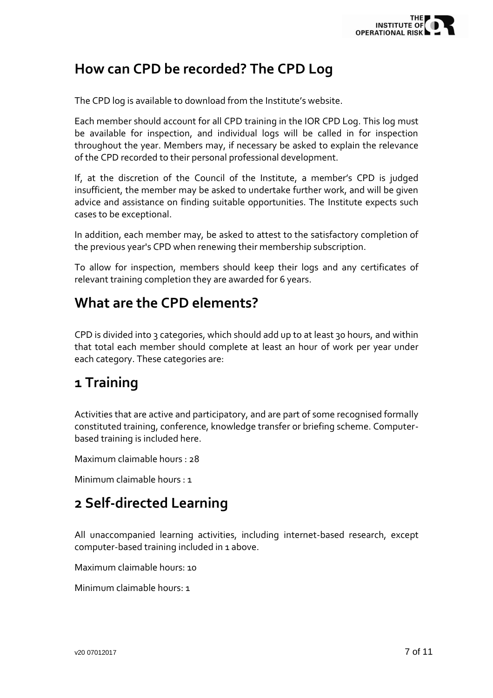

## **How can CPD be recorded? The CPD Log**

The CPD log is available to download from the Institute's website.

Each member should account for all CPD training in the IOR CPD Log. This log must be available for inspection, and individual logs will be called in for inspection throughout the year. Members may, if necessary be asked to explain the relevance of the CPD recorded to their personal professional development.

If, at the discretion of the Council of the Institute, a member's CPD is judged insufficient, the member may be asked to undertake further work, and will be given advice and assistance on finding suitable opportunities. The Institute expects such cases to be exceptional.

In addition, each member may, be asked to attest to the satisfactory completion of the previous year's CPD when renewing their membership subscription.

To allow for inspection, members should keep their logs and any certificates of relevant training completion they are awarded for 6 years.

#### **What are the CPD elements?**

CPD is divided into 3 categories, which should add up to at least 30 hours, and within that total each member should complete at least an hour of work per year under each category. These categories are:

#### **1 Training**

Activities that are active and participatory, and are part of some recognised formally constituted training, conference, knowledge transfer or briefing scheme. Computerbased training is included here.

Maximum claimable hours : 28

Minimum claimable hours : 1

#### **2 Self-directed Learning**

All unaccompanied learning activities, including internet-based research, except computer-based training included in 1 above.

Maximum claimable hours: 10

Minimum claimable hours: 1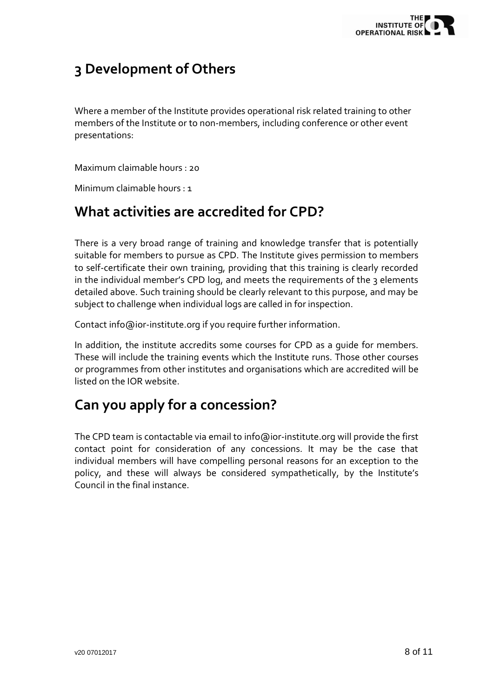# **3 Development of Others**

Where a member of the Institute provides operational risk related training to other members of the Institute or to non-members, including conference or other event presentations:

Maximum claimable hours : 20

Minimum claimable hours : 1

#### **What activities are accredited for CPD?**

There is a very broad range of training and knowledge transfer that is potentially suitable for members to pursue as CPD. The Institute gives permission to members to self-certificate their own training, providing that this training is clearly recorded in the individual member's CPD log, and meets the requirements of the 3 elements detailed above. Such training should be clearly relevant to this purpose, and may be subject to challenge when individual logs are called in for inspection.

Contact [info@ior-institute.org](mailto:technology@ior-institute.org) if you require further information.

In addition, the institute accredits some courses for CPD as a guide for members. These will include the training events which the Institute runs. Those other courses or programmes from other institutes and organisations which are accredited will be listed on the IOR website.

#### **Can you apply for a concession?**

The CPD team is contactable via email to [info@ior-institute.org](mailto:technology@ior-institute.org) will provide the first contact point for consideration of any concessions. It may be the case that individual members will have compelling personal reasons for an exception to the policy, and these will always be considered sympathetically, by the Institute's Council in the final instance.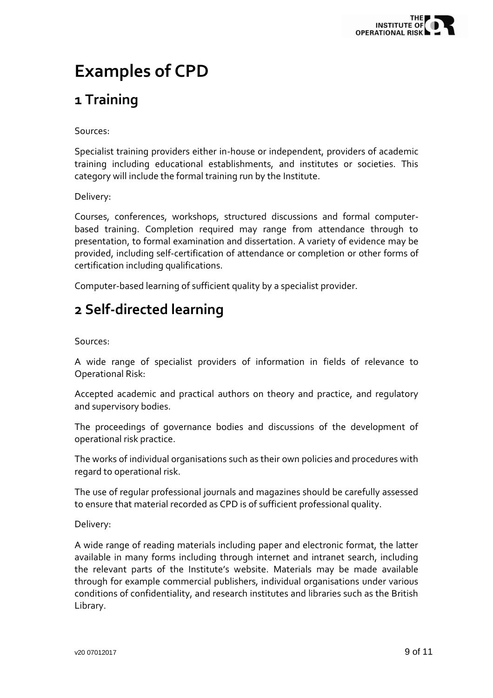

# **Examples of CPD**

### **1 Training**

#### Sources:

Specialist training providers either in-house or independent, providers of academic training including educational establishments, and institutes or societies. This category will include the formal training run by the Institute.

Delivery:

Courses, conferences, workshops, structured discussions and formal computerbased training. Completion required may range from attendance through to presentation, to formal examination and dissertation. A variety of evidence may be provided, including self-certification of attendance or completion or other forms of certification including qualifications.

Computer-based learning of sufficient quality by a specialist provider.

## **2 Self-directed learning**

Sources:

A wide range of specialist providers of information in fields of relevance to Operational Risk:

Accepted academic and practical authors on theory and practice, and regulatory and supervisory bodies.

The proceedings of governance bodies and discussions of the development of operational risk practice.

The works of individual organisations such as their own policies and procedures with regard to operational risk.

The use of regular professional journals and magazines should be carefully assessed to ensure that material recorded as CPD is of sufficient professional quality.

Delivery:

A wide range of reading materials including paper and electronic format, the latter available in many forms including through internet and intranet search, including the relevant parts of the Institute's website. Materials may be made available through for example commercial publishers, individual organisations under various conditions of confidentiality, and research institutes and libraries such as the British Library.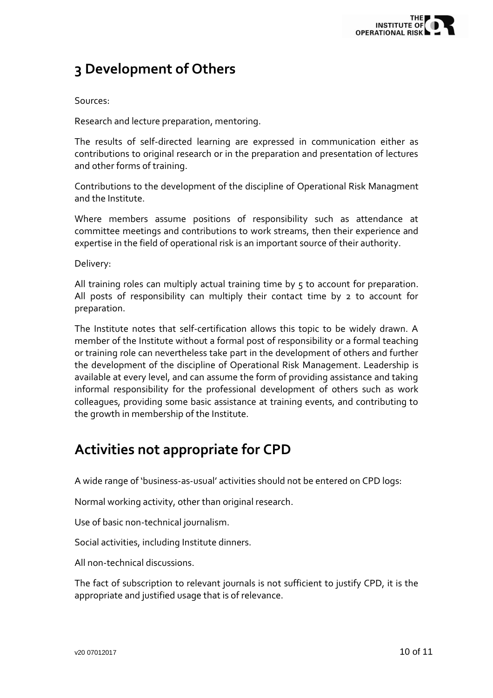

### **3 Development of Others**

#### Sources:

Research and lecture preparation, mentoring.

The results of self-directed learning are expressed in communication either as contributions to original research or in the preparation and presentation of lectures and other forms of training.

Contributions to the development of the discipline of Operational Risk Managment and the Institute.

Where members assume positions of responsibility such as attendance at committee meetings and contributions to work streams, then their experience and expertise in the field of operational risk is an important source of their authority.

Delivery:

All training roles can multiply actual training time by 5 to account for preparation. All posts of responsibility can multiply their contact time by 2 to account for preparation.

The Institute notes that self-certification allows this topic to be widely drawn. A member of the Institute without a formal post of responsibility or a formal teaching or training role can nevertheless take part in the development of others and further the development of the discipline of Operational Risk Management. Leadership is available at every level, and can assume the form of providing assistance and taking informal responsibility for the professional development of others such as work colleagues, providing some basic assistance at training events, and contributing to the growth in membership of the Institute.

#### **Activities not appropriate for CPD**

A wide range of 'business-as-usual' activities should not be entered on CPD logs:

Normal working activity, other than original research.

Use of basic non-technical journalism.

Social activities, including Institute dinners.

All non-technical discussions.

The fact of subscription to relevant journals is not sufficient to justify CPD, it is the appropriate and justified usage that is of relevance.